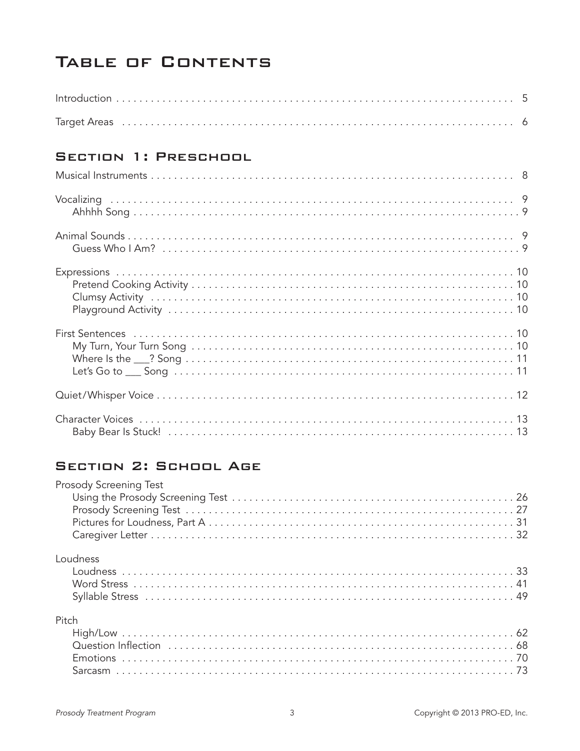# TABLE OF CONTENTS

### Section 1: Preschool

## Section 2: School Age

| Prosody Screening Test |  |
|------------------------|--|
|                        |  |
|                        |  |
|                        |  |
|                        |  |
| Loudness               |  |
|                        |  |
|                        |  |
|                        |  |
| Pitch                  |  |
|                        |  |
|                        |  |
|                        |  |
|                        |  |